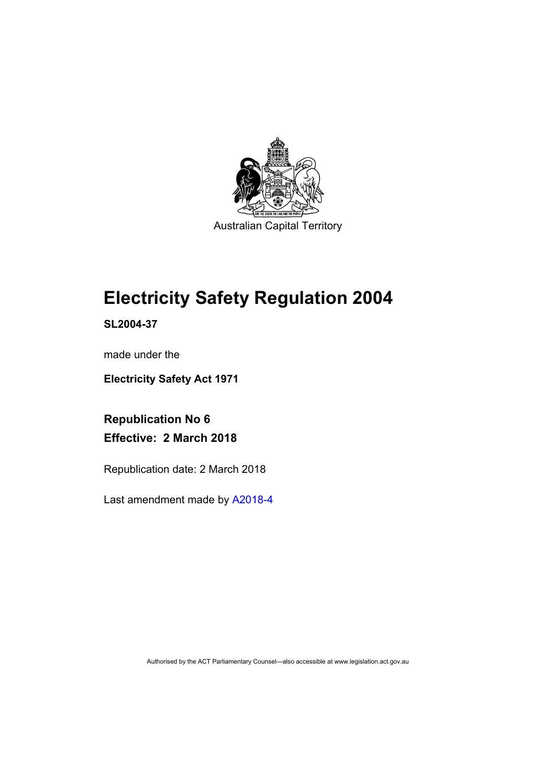

Australian Capital Territory

# **Electricity Safety Regulation 2004**

**SL2004-37** 

made under the

**Electricity Safety Act 1971** 

**Republication No 6 Effective: 2 March 2018** 

Republication date: 2 March 2018

Last amendment made by [A2018-4](http://www.legislation.act.gov.au/a/2018-4/default.asp)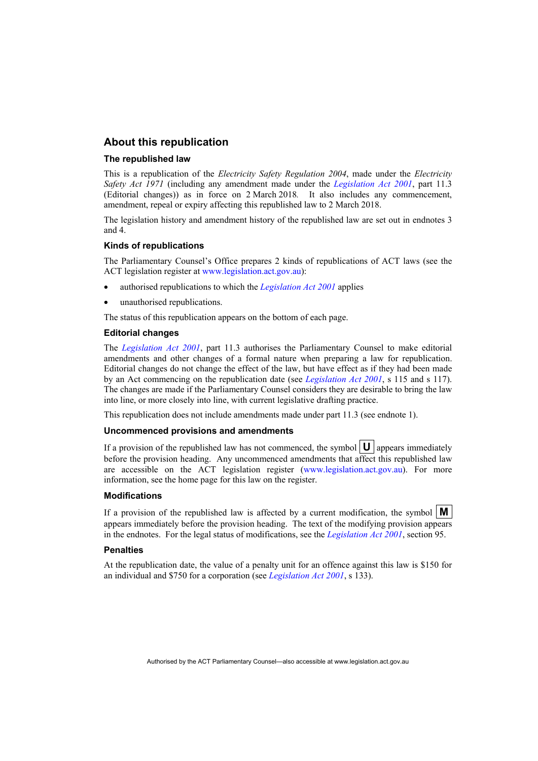### **About this republication**

#### **The republished law**

This is a republication of the *Electricity Safety Regulation 2004*, made under the *Electricity Safety Act 1971* (including any amendment made under the *[Legislation Act 2001](http://www.legislation.act.gov.au/a/2001-14)*, part 11.3 (Editorial changes)) as in force on 2 March 2018*.* It also includes any commencement, amendment, repeal or expiry affecting this republished law to 2 March 2018.

The legislation history and amendment history of the republished law are set out in endnotes 3 and 4.

#### **Kinds of republications**

The Parliamentary Counsel's Office prepares 2 kinds of republications of ACT laws (see the ACT legislation register at [www.legislation.act.gov.au](http://www.legislation.act.gov.au/)):

- authorised republications to which the *[Legislation Act 2001](http://www.legislation.act.gov.au/a/2001-14)* applies
- unauthorised republications.

The status of this republication appears on the bottom of each page.

#### **Editorial changes**

The *[Legislation Act 2001](http://www.legislation.act.gov.au/a/2001-14)*, part 11.3 authorises the Parliamentary Counsel to make editorial amendments and other changes of a formal nature when preparing a law for republication. Editorial changes do not change the effect of the law, but have effect as if they had been made by an Act commencing on the republication date (see *[Legislation Act 2001](http://www.legislation.act.gov.au/a/2001-14)*, s 115 and s 117). The changes are made if the Parliamentary Counsel considers they are desirable to bring the law into line, or more closely into line, with current legislative drafting practice.

This republication does not include amendments made under part 11.3 (see endnote 1).

#### **Uncommenced provisions and amendments**

If a provision of the republished law has not commenced, the symbol  $\mathbf{U}$  appears immediately before the provision heading. Any uncommenced amendments that affect this republished law are accessible on the ACT legislation register [\(www.legislation.act.gov.au\)](http://www.legislation.act.gov.au/). For more information, see the home page for this law on the register.

#### **Modifications**

If a provision of the republished law is affected by a current modification, the symbol  $\mathbf{M}$ appears immediately before the provision heading. The text of the modifying provision appears in the endnotes. For the legal status of modifications, see the *[Legislation Act 2001](http://www.legislation.act.gov.au/a/2001-14)*, section 95.

#### **Penalties**

At the republication date, the value of a penalty unit for an offence against this law is \$150 for an individual and \$750 for a corporation (see *[Legislation Act 2001](http://www.legislation.act.gov.au/a/2001-14)*, s 133).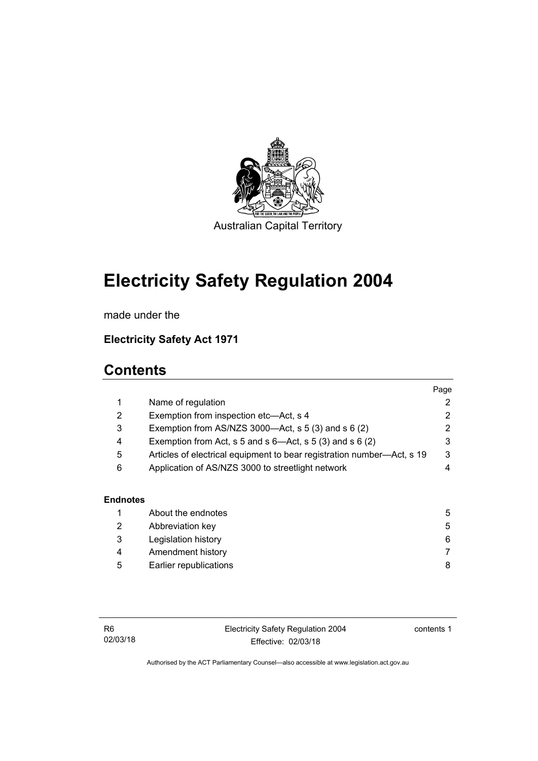

Australian Capital Territory

# **Electricity Safety Regulation 2004**

made under the

## **Electricity Safety Act 1971**

## **Contents**

|                 |                                                                        | Page |
|-----------------|------------------------------------------------------------------------|------|
| 1               | Name of regulation                                                     | 2    |
| 2               | Exemption from inspection etc-Act, s 4                                 | 2    |
| 3               | Exemption from AS/NZS 3000- $Act$ , s 5 (3) and s 6 (2)                | 2    |
| 4               | Exemption from Act, s 5 and s $6$ —Act, s 5 (3) and s 6 (2)            | 3    |
| 5               | Articles of electrical equipment to bear registration number-Act, s 19 | 3    |
| 6               | Application of AS/NZS 3000 to streetlight network                      | 4    |
| <b>Endnotes</b> |                                                                        |      |
|                 | About the endnotes                                                     | 5    |
| 2               | Abbreviation key                                                       | 5    |
| ◠               | Logiolotion biotony                                                    | c    |

 3 [Legislation history 6](#page-9-0) 4 [Amendment history 7](#page-10-0) 5 [Earlier republications 8](#page-11-0)

Electricity Safety Regulation 2004 Effective: 02/03/18

contents 1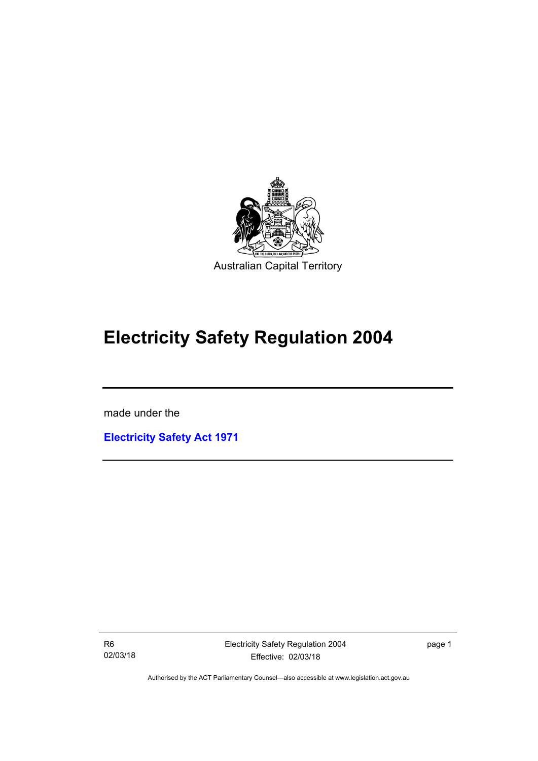

# **Electricity Safety Regulation 2004**

made under the

I

**[Electricity Safety Act 1971](http://www.legislation.act.gov.au/a/1971-30)**

R6 02/03/18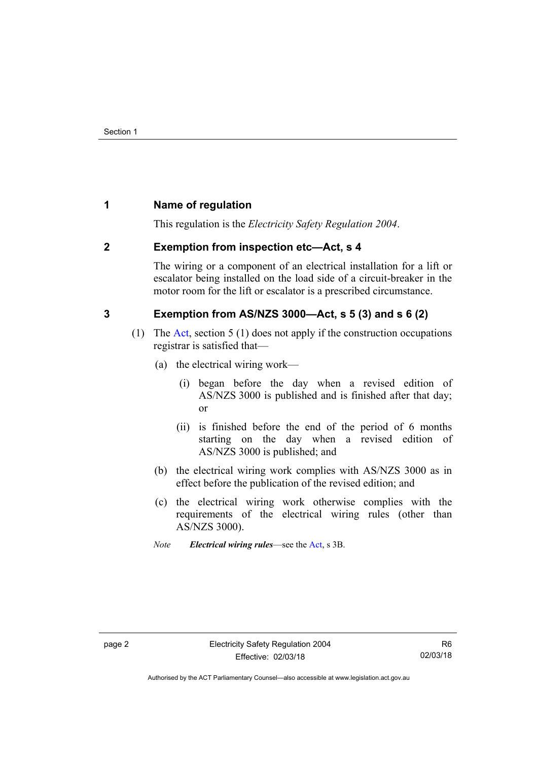## <span id="page-5-0"></span>**1 Name of regulation**

This regulation is the *Electricity Safety Regulation 2004*.

## <span id="page-5-1"></span>**2 Exemption from inspection etc—Act, s 4**

The wiring or a component of an electrical installation for a lift or escalator being installed on the load side of a circuit-breaker in the motor room for the lift or escalator is a prescribed circumstance.

## <span id="page-5-2"></span>**3 Exemption from AS/NZS 3000—Act, s 5 (3) and s 6 (2)**

- (1) The [Act](http://www.legislation.act.gov.au/a/1971-30/default.asp), section 5 (1) does not apply if the construction occupations registrar is satisfied that—
	- (a) the electrical wiring work—
		- (i) began before the day when a revised edition of AS/NZS 3000 is published and is finished after that day; or
		- (ii) is finished before the end of the period of 6 months starting on the day when a revised edition of AS/NZS 3000 is published; and
	- (b) the electrical wiring work complies with AS/NZS 3000 as in effect before the publication of the revised edition; and
	- (c) the electrical wiring work otherwise complies with the requirements of the electrical wiring rules (other than AS/NZS 3000).
	- *Note Electrical wiring rules*—see the [Act,](http://www.legislation.act.gov.au/a/1971-30/default.asp) s 3B.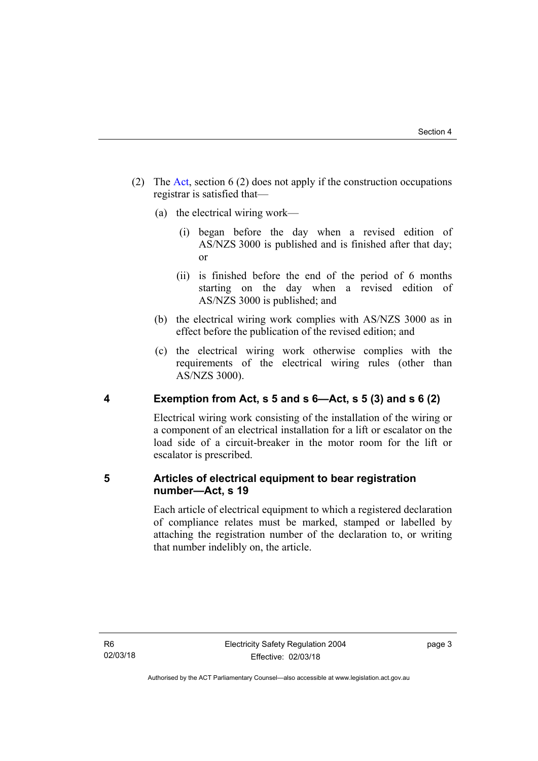- (2) The [Act](http://www.legislation.act.gov.au/a/1971-30/default.asp), section 6 (2) does not apply if the construction occupations registrar is satisfied that—
	- (a) the electrical wiring work—
		- (i) began before the day when a revised edition of AS/NZS 3000 is published and is finished after that day; or
		- (ii) is finished before the end of the period of 6 months starting on the day when a revised edition of AS/NZS 3000 is published; and
	- (b) the electrical wiring work complies with AS/NZS 3000 as in effect before the publication of the revised edition; and
	- (c) the electrical wiring work otherwise complies with the requirements of the electrical wiring rules (other than AS/NZS 3000).

## <span id="page-6-0"></span>**4 Exemption from Act, s 5 and s 6—Act, s 5 (3) and s 6 (2)**

Electrical wiring work consisting of the installation of the wiring or a component of an electrical installation for a lift or escalator on the load side of a circuit-breaker in the motor room for the lift or escalator is prescribed.

## <span id="page-6-1"></span>**5 Articles of electrical equipment to bear registration number—Act, s 19**

Each article of electrical equipment to which a registered declaration of compliance relates must be marked, stamped or labelled by attaching the registration number of the declaration to, or writing that number indelibly on, the article.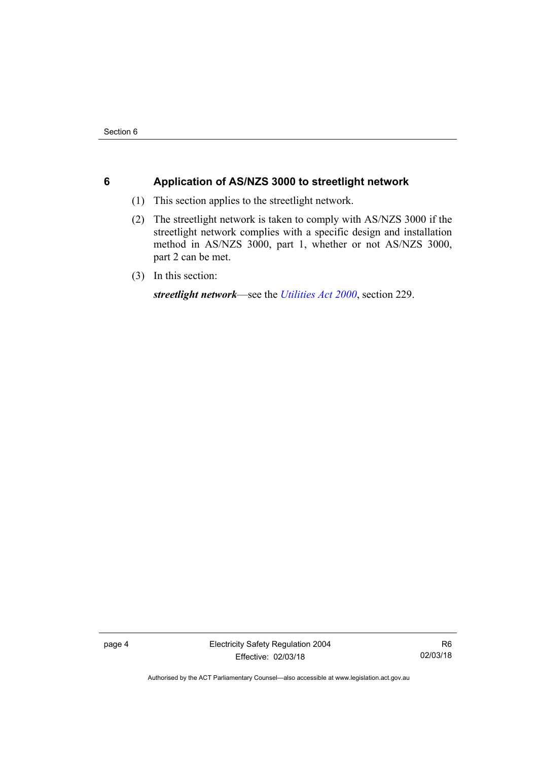## <span id="page-7-0"></span>**6 Application of AS/NZS 3000 to streetlight network**

- (1) This section applies to the streetlight network.
- (2) The streetlight network is taken to comply with AS/NZS 3000 if the streetlight network complies with a specific design and installation method in AS/NZS 3000, part 1, whether or not AS/NZS 3000, part 2 can be met.
- (3) In this section:

*streetlight network*—see the *[Utilities Act 2000](http://www.legislation.act.gov.au/a/2000-65)*, section 229.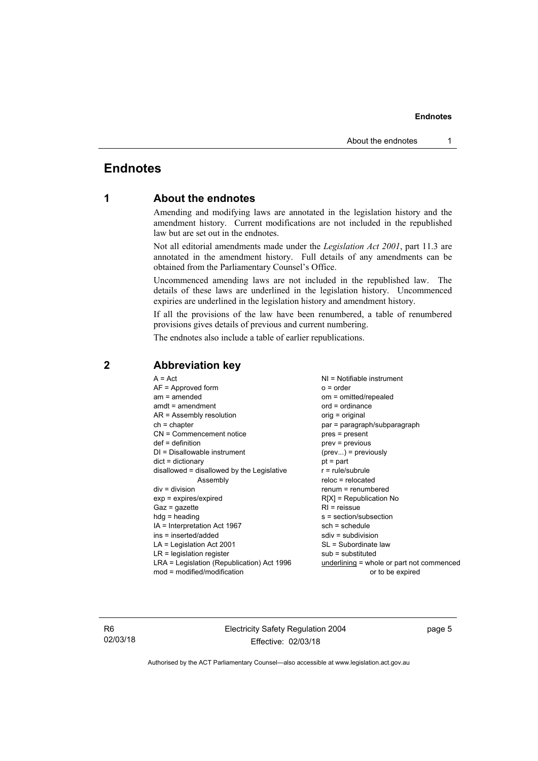## <span id="page-8-0"></span>**Endnotes**

## **1 About the endnotes**

Amending and modifying laws are annotated in the legislation history and the amendment history. Current modifications are not included in the republished law but are set out in the endnotes.

Not all editorial amendments made under the *Legislation Act 2001*, part 11.3 are annotated in the amendment history. Full details of any amendments can be obtained from the Parliamentary Counsel's Office.

Uncommenced amending laws are not included in the republished law. The details of these laws are underlined in the legislation history. Uncommenced expiries are underlined in the legislation history and amendment history.

If all the provisions of the law have been renumbered, a table of renumbered provisions gives details of previous and current numbering.

The endnotes also include a table of earlier republications.

| $A = Act$<br>$AF =$ Approved form          | $NI = Notifiable$ instrument<br>$o = order$ |  |  |
|--------------------------------------------|---------------------------------------------|--|--|
| $am = amended$                             | om = omitted/repealed                       |  |  |
| $amdt = amendment$                         | $ord = ordinance$                           |  |  |
| $AR = Assembly resolution$                 | $orig = original$                           |  |  |
| $ch = chapter$                             | par = paragraph/subparagraph                |  |  |
| CN = Commencement notice                   | $pres = present$                            |  |  |
| $def = definition$                         | $prev = previous$                           |  |  |
| $DI = Disallowable instrument$             |                                             |  |  |
|                                            | $(\text{prev})$ = previously                |  |  |
| $dict = dictionary$                        | $pt = part$                                 |  |  |
| disallowed = disallowed by the Legislative | $r = rule/subrule$                          |  |  |
| Assembly                                   | $reloc = relocated$                         |  |  |
| $div = division$                           | $renum = renumbered$                        |  |  |
| $exp = expires/expired$                    | $R[X]$ = Republication No                   |  |  |
| $Gaz = gazette$                            | $R1$ = reissue                              |  |  |
| $hdg = heading$                            | s = section/subsection                      |  |  |
| $IA = Interpretation Act 1967$             | $sch = schedule$                            |  |  |
| ins = inserted/added                       | $sdiv = subdivision$                        |  |  |
| $LA =$ Legislation Act 2001                | SL = Subordinate law                        |  |  |
| $LR =$ legislation register                | $sub =$ substituted                         |  |  |
| LRA = Legislation (Republication) Act 1996 | $underlining = whole or part not commenced$ |  |  |
| $mod = modified/modification$              | or to be expired                            |  |  |
|                                            |                                             |  |  |

## <span id="page-8-2"></span>**2 Abbreviation key**

R6 02/03/18 Electricity Safety Regulation 2004 Effective: 02/03/18

page 5

<span id="page-8-1"></span>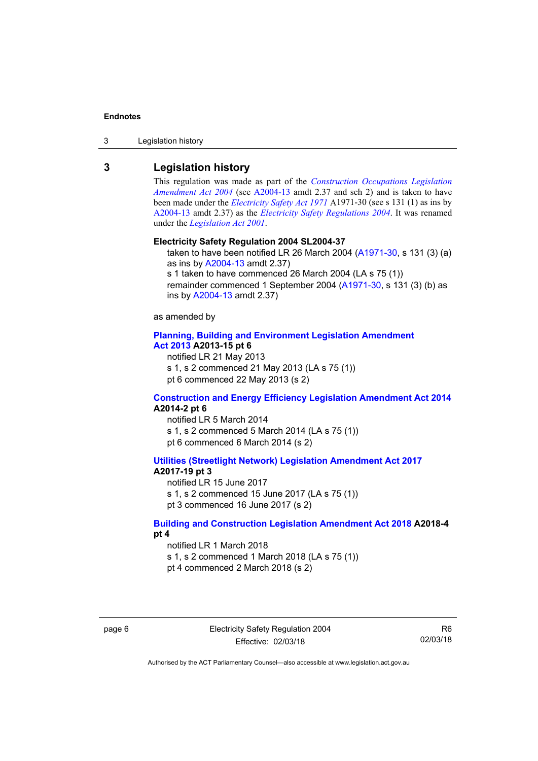3 Legislation history

## <span id="page-9-0"></span>**3 Legislation history**

This regulation was made as part of the *[Construction Occupations Legislation](http://www.legislation.act.gov.au/a/2004-13)  [Amendment Act 2004](http://www.legislation.act.gov.au/a/2004-13)* (see [A2004-13](http://www.legislation.act.gov.au/a/2004-13) amdt 2.37 and sch 2) and is taken to have been made under the *[Electricity Safety Act 1971](http://www.legislation.act.gov.au/a/1971-30)* A1971-30 (see s 131 (1) as ins by [A2004-13](http://www.legislation.act.gov.au/a/2004-13) amdt 2.37) as the *[Electricity Safety Regulations 2004](http://www.legislation.act.gov.au/sl/2004-37)*. It was renamed under the *[Legislation Act 2001](http://www.legislation.act.gov.au/a/2001-14)*.

#### **Electricity Safety Regulation 2004 SL2004-37**

taken to have been notified LR 26 March 2004 [\(A1971-30,](http://www.legislation.act.gov.au/a/1971-30) s 131 (3) (a) as ins by [A2004-13](http://www.legislation.act.gov.au/a/2004-13) amdt 2.37) s 1 taken to have commenced 26 March 2004 (LA s 75 (1)) remainder commenced 1 September 2004 [\(A1971-30,](http://www.legislation.act.gov.au/a/1971-30) s 131 (3) (b) as ins by [A2004-13](http://www.legislation.act.gov.au/a/2004-13) amdt 2.37)

as amended by

#### **[Planning, Building and Environment Legislation Amendment](http://www.legislation.act.gov.au/a/2013-15)  [Act 2013](http://www.legislation.act.gov.au/a/2013-15) A2013-15 pt 6**

notified LR 21 May 2013

s 1, s 2 commenced 21 May 2013 (LA s 75 (1))

pt 6 commenced 22 May 2013 (s 2)

#### **[Construction and Energy Efficiency Legislation Amendment Act 2014](http://www.legislation.act.gov.au/a/2014-2) A2014-2 pt 6**

notified LR 5 March 2014 s 1, s 2 commenced 5 March 2014 (LA s 75 (1)) pt 6 commenced 6 March 2014 (s 2)

#### **[Utilities \(Streetlight Network\) Legislation Amendment Act 2017](http://www.legislation.act.gov.au/a/2017-19/default.asp) A2017-19 pt 3**

notified LR 15 June 2017 s 1, s 2 commenced 15 June 2017 (LA s 75 (1)) pt 3 commenced 16 June 2017 (s 2)

#### **[Building and Construction Legislation Amendment Act 2018](http://www.legislation.act.gov.au/a/2018-4/default.asp) A2018-4 pt 4**

notified LR 1 March 2018 s 1, s 2 commenced 1 March 2018 (LA s 75 (1)) pt 4 commenced 2 March 2018 (s 2)

R6 02/03/18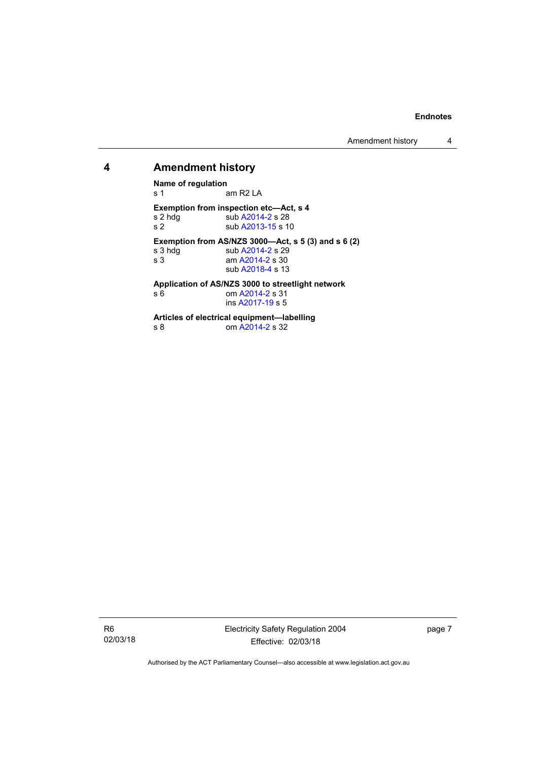Amendment history 4

### <span id="page-10-0"></span>**4 Amendment history**

**Name of regulation**  am R2 LA **Exemption from inspection etc—Act, s 4**  s 2 hdg sub [A2014-2](http://www.legislation.act.gov.au/a/2014-2) s 28<br>s 2 sub A2013-15 s 1 sub [A2013-15](http://www.legislation.act.gov.au/a/2013-15/default.asp) s 10

**Exemption from AS/NZS 3000—Act, s 5 (3) and s 6 (2)** 

| s 3 hdg | sub A2014-2 s 29 |
|---------|------------------|
| s 3     | am A2014-2 s 30  |
|         | sub A2018-4 s 13 |
|         |                  |

**Application of AS/NZS 3000 to streetlight network** 

| s 6 | om A2014-2 s 31  |  |
|-----|------------------|--|
|     | ins A2017-19 s 5 |  |

**Articles of electrical equipment—labelling** 

s 8 om [A2014-2](http://www.legislation.act.gov.au/a/2014-2) s 32

R6 02/03/18 Electricity Safety Regulation 2004 Effective: 02/03/18

page 7